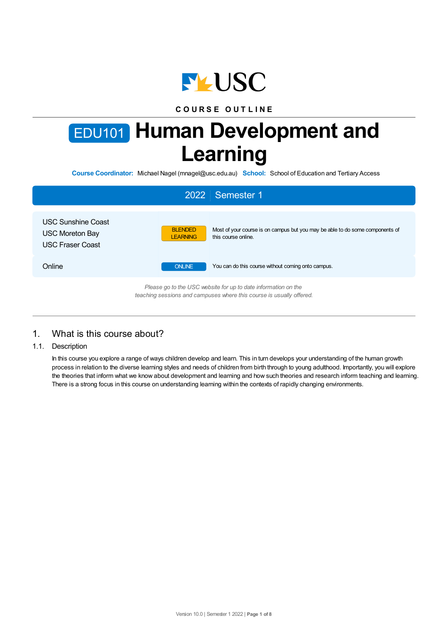

## **C O U R S E O U T L I N E**

# EDU101 **Human Development and Learning**

**Course Coordinator:** Michael Nagel (mnagel@usc.edu.au) **School:** School of Education and Tertiary Access

| 2022   Semester 1                                                                                                                      |                                                                                                                                           |  |  |  |  |
|----------------------------------------------------------------------------------------------------------------------------------------|-------------------------------------------------------------------------------------------------------------------------------------------|--|--|--|--|
| <b>USC Sunshine Coast</b><br>USC Moreton Bay<br><b>USC Fraser Coast</b>                                                                | Most of your course is on campus but you may be able to do some components of<br><b>BLENDED</b><br>this course online.<br><b>LEARNING</b> |  |  |  |  |
| Online                                                                                                                                 | You can do this course without coming onto campus.<br><b>ONLINE</b>                                                                       |  |  |  |  |
| Please go to the USC website for up to date information on the<br>teaching sessions and campuses where this course is usually offered. |                                                                                                                                           |  |  |  |  |

## 1. What is this course about?

1.1. Description

In this course you explore a range of ways children develop and learn. This in turn develops your understanding of the human growth process in relation to the diverse learning styles and needs of children from birth through to young adulthood. Importantly, you will explore the theories that inform what we know about development and learning and how such theories and research inform teaching and learning. There is a strong focus in this course on understanding learning within the contexts of rapidly changing environments.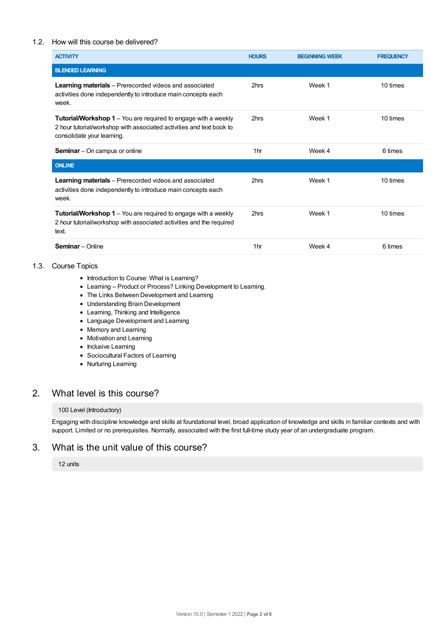#### 1.2. How will this course be delivered?

| <b>ACTIVITY</b>                                                                                                                                                             | <b>HOURS</b>    | <b>BEGINNING WEEK</b> | <b>FREQUENCY</b> |
|-----------------------------------------------------------------------------------------------------------------------------------------------------------------------------|-----------------|-----------------------|------------------|
| <b>BLENDED LEARNING</b>                                                                                                                                                     |                 |                       |                  |
| <b>Learning materials</b> – Prerecorded videos and associated<br>activities done independently to introduce main concepts each<br>week.                                     | 2hrs            | Week 1                | 10 times         |
| <b>Tutorial/Workshop 1</b> – You are required to engage with a weekly<br>2 hour tutorial/workshop with associated activities and text book to<br>consolidate your learning. | 2hrs            | Week 1                | 10 times         |
| <b>Seminar</b> – On campus or online                                                                                                                                        | 1 <sub>hr</sub> | Week 4                | 6 times          |
| <b>ONLINE</b>                                                                                                                                                               |                 |                       |                  |
| <b>Learning materials</b> – Prerecorded videos and associated<br>activities done independently to introduce main concepts each<br>week.                                     | 2hrs            | Week 1                | 10 times         |
| <b>Tutorial/Workshop 1</b> – You are required to engage with a weekly<br>2 hour tutorial/workshop with associated activities and the required<br>text.                      | 2hrs            | Week 1                | 10 times         |
| <b>Seminar</b> - Online                                                                                                                                                     | 1 <sub>hr</sub> | Week 4                | 6 times          |

#### 1.3. Course Topics

- Introduction to Course: What is Learning?
- Learning Product or Process? Linking Development to Learning.
- The Links Between Development and Learning
- Understanding Brain Development
- Learning, Thinking and Intelligence
- Language Development and Learning
- Memory and Learning
- Motivation and Learning
- Inclusive Learning
- Sociocultural Factors of Learning
- Nurturing Learning

## 2. What level is this course?

#### 100 Level (Introductory)

Engaging with discipline knowledge and skills at foundational level, broad application of knowledge and skills in familiar contexts and with support. Limited or no prerequisites. Normally, associated with the first full-time study year of an undergraduate program.

### 3. What is the unit value of this course?

#### 12 units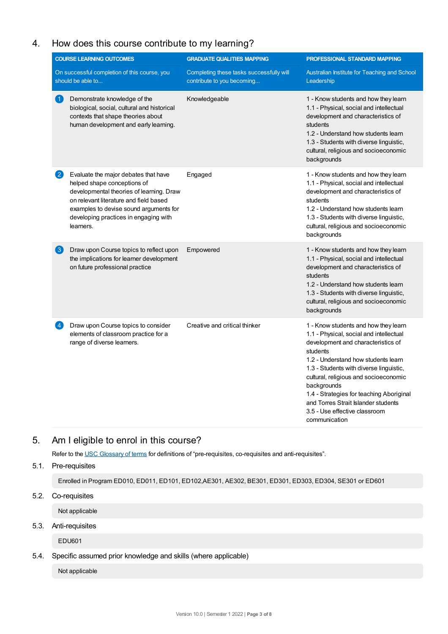# 4. How does this course contribute to my learning?

| <b>COURSE LEARNING OUTCOMES</b>                                   |                                                                                                                                                                                                                                                           | <b>GRADUATE QUALITIES MAPPING</b>                                      | PROFESSIONAL STANDARD MAPPING                                                                                                                                                                                                                                                                                                                                                                                    |  |
|-------------------------------------------------------------------|-----------------------------------------------------------------------------------------------------------------------------------------------------------------------------------------------------------------------------------------------------------|------------------------------------------------------------------------|------------------------------------------------------------------------------------------------------------------------------------------------------------------------------------------------------------------------------------------------------------------------------------------------------------------------------------------------------------------------------------------------------------------|--|
| On successful completion of this course, you<br>should be able to |                                                                                                                                                                                                                                                           | Completing these tasks successfully will<br>contribute to you becoming | Australian Institute for Teaching and School<br>Leadership                                                                                                                                                                                                                                                                                                                                                       |  |
| $\left( 1\right)$                                                 | Demonstrate knowledge of the<br>biological, social, cultural and historical<br>contexts that shape theories about<br>human development and early learning.                                                                                                | Knowledgeable                                                          | 1 - Know students and how they learn<br>1.1 - Physical, social and intellectual<br>development and characteristics of<br>students<br>1.2 - Understand how students learn<br>1.3 - Students with diverse linguistic,<br>cultural, religious and socioeconomic<br>backgrounds                                                                                                                                      |  |
| $\mathbf{2}$                                                      | Evaluate the major debates that have<br>helped shape conceptions of<br>developmental theories of learning. Draw<br>on relevant literature and field based<br>examples to devise sound arguments for<br>developing practices in engaging with<br>learners. | Engaged                                                                | 1 - Know students and how they learn<br>1.1 - Physical, social and intellectual<br>development and characteristics of<br>students<br>1.2 - Understand how students learn<br>1.3 - Students with diverse linguistic,<br>cultural, religious and socioeconomic<br>backgrounds                                                                                                                                      |  |
| $\left\lfloor 3 \right\rfloor$                                    | Draw upon Course topics to reflect upon<br>the implications for learner development<br>on future professional practice                                                                                                                                    | Empowered                                                              | 1 - Know students and how they learn<br>1.1 - Physical, social and intellectual<br>development and characteristics of<br>students<br>1.2 - Understand how students learn<br>1.3 - Students with diverse linguistic,<br>cultural, religious and socioeconomic<br>backgrounds                                                                                                                                      |  |
| $\left  4 \right\rangle$                                          | Draw upon Course topics to consider<br>elements of classroom practice for a<br>range of diverse learners.                                                                                                                                                 | Creative and critical thinker                                          | 1 - Know students and how they learn<br>1.1 - Physical, social and intellectual<br>development and characteristics of<br>students<br>1.2 - Understand how students learn<br>1.3 - Students with diverse linguistic,<br>cultural, religious and socioeconomic<br>backgrounds<br>1.4 - Strategies for teaching Aboriginal<br>and Torres Strait Islander students<br>3.5 - Use effective classroom<br>communication |  |

## 5. Am Ieligible to enrol in this course?

Refer to the USC [Glossary](https://www.usc.edu.au/about/policies-and-procedures/glossary-of-terms-for-policy-and-procedures) of terms for definitions of "pre-requisites, co-requisites and anti-requisites".

## 5.1. Pre-requisites

Enrolled in Program ED010, ED011, ED101, ED102,AE301, AE302, BE301, ED301, ED303, ED304, SE301 or ED601

5.2. Co-requisites

Not applicable

## 5.3. Anti-requisites

EDU601

#### 5.4. Specific assumed prior knowledge and skills (where applicable)

Not applicable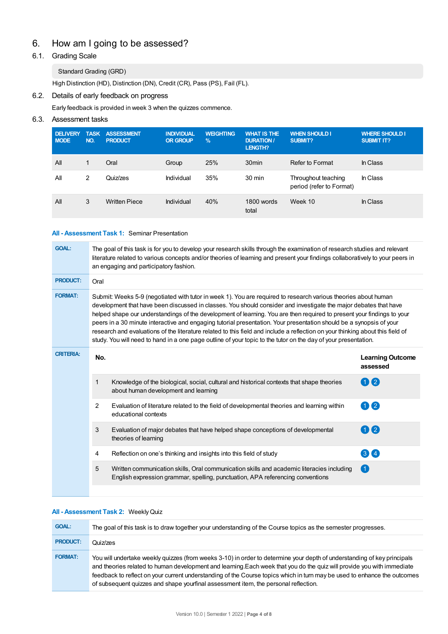# 6. How am Igoing to be assessed?

## 6.1. Grading Scale

#### Standard Grading (GRD)

High Distinction (HD), Distinction (DN), Credit (CR), Pass (PS), Fail (FL).

## 6.2. Details of early feedback on progress

Early feedback is provided in week 3 when the quizzes commence.

#### 6.3. Assessment tasks

| <b>DELIVERY</b><br><b>MODE</b> | <b>TASK</b><br>NO. | <b>ASSESSMENT</b><br><b>PRODUCT</b> | <b>INDIVIDUAL</b><br><b>OR GROUP</b> | <b>WEIGHTING</b><br>$\frac{9}{6}$ | <b>WHAT IS THE</b><br><b>DURATION /</b><br>LENGTH? | <b>WHEN SHOULD I</b><br>SUBMIT?                 | <b>WHERE SHOULD I</b><br><b>SUBMIT IT?</b> |
|--------------------------------|--------------------|-------------------------------------|--------------------------------------|-----------------------------------|----------------------------------------------------|-------------------------------------------------|--------------------------------------------|
| All                            | 1                  | Oral                                | Group                                | 25%                               | 30 <sub>min</sub>                                  | Refer to Format                                 | In Class                                   |
| All                            | 2                  | Quiz/zes                            | Individual                           | 35%                               | $30 \text{ min}$                                   | Throughout teaching<br>period (refer to Format) | In Class                                   |
| All                            | 3                  | <b>Written Piece</b>                | Individual                           | 40%                               | 1800 words<br>total                                | Week 10                                         | In Class                                   |

#### **All - Assessment Task 1:** Seminar Presentation

| The goal of this task is for you to develop your research skills through the examination of research studies and relevant<br>literature related to various concepts and/or theories of learning and present your findings collaboratively to your peers in<br>an engaging and participatory fashion.                                                                                                                                                                                                                                                                                                                                                                                                                                    |                                                                                                                                                                             |                                     |  |  |  |  |
|-----------------------------------------------------------------------------------------------------------------------------------------------------------------------------------------------------------------------------------------------------------------------------------------------------------------------------------------------------------------------------------------------------------------------------------------------------------------------------------------------------------------------------------------------------------------------------------------------------------------------------------------------------------------------------------------------------------------------------------------|-----------------------------------------------------------------------------------------------------------------------------------------------------------------------------|-------------------------------------|--|--|--|--|
| Oral                                                                                                                                                                                                                                                                                                                                                                                                                                                                                                                                                                                                                                                                                                                                    |                                                                                                                                                                             |                                     |  |  |  |  |
| Submit: Weeks 5-9 (negotiated with tutor in week 1). You are required to research various theories about human<br>development that have been discussed in classes. You should consider and investigate the major debates that have<br>helped shape our understandings of the development of learning. You are then required to present your findings to your<br>peers in a 30 minute interactive and engaging tutorial presentation. Your presentation should be a synopsis of your<br>research and evaluations of the literature related to this field and include a reflection on your thinking about this field of<br>study. You will need to hand in a one page outline of your topic to the tutor on the day of your presentation. |                                                                                                                                                                             |                                     |  |  |  |  |
| No.                                                                                                                                                                                                                                                                                                                                                                                                                                                                                                                                                                                                                                                                                                                                     |                                                                                                                                                                             | <b>Learning Outcome</b><br>assessed |  |  |  |  |
| 1                                                                                                                                                                                                                                                                                                                                                                                                                                                                                                                                                                                                                                                                                                                                       | Knowledge of the biological, social, cultural and historical contexts that shape theories<br>about human development and learning                                           | 112                                 |  |  |  |  |
| 2                                                                                                                                                                                                                                                                                                                                                                                                                                                                                                                                                                                                                                                                                                                                       | Evaluation of literature related to the field of developmental theories and learning within<br>educational contexts                                                         | 0 2                                 |  |  |  |  |
| 3                                                                                                                                                                                                                                                                                                                                                                                                                                                                                                                                                                                                                                                                                                                                       | Evaluation of major debates that have helped shape conceptions of developmental<br>theories of learning                                                                     | 1) (2)                              |  |  |  |  |
| 4                                                                                                                                                                                                                                                                                                                                                                                                                                                                                                                                                                                                                                                                                                                                       | Reflection on one's thinking and insights into this field of study                                                                                                          | 34                                  |  |  |  |  |
| 5                                                                                                                                                                                                                                                                                                                                                                                                                                                                                                                                                                                                                                                                                                                                       | Written communication skills, Oral communication skills and academic literacies including<br>English expression grammar, spelling, punctuation, APA referencing conventions |                                     |  |  |  |  |
|                                                                                                                                                                                                                                                                                                                                                                                                                                                                                                                                                                                                                                                                                                                                         |                                                                                                                                                                             |                                     |  |  |  |  |

#### **All - Assessment Task 2:** WeeklyQuiz

| <b>GOAL:</b>    | The goal of this task is to draw together your understanding of the Course topics as the semester progresses.                                                                                                                                                                                                                                                                                                                                                        |
|-----------------|----------------------------------------------------------------------------------------------------------------------------------------------------------------------------------------------------------------------------------------------------------------------------------------------------------------------------------------------------------------------------------------------------------------------------------------------------------------------|
| <b>PRODUCT:</b> | Quiz/zes                                                                                                                                                                                                                                                                                                                                                                                                                                                             |
| <b>FORMAT:</b>  | You will undertake weekly quizzes (from weeks 3-10) in order to determine your depth of understanding of key principals<br>and theories related to human development and learning. Each week that you do the quiz will provide you with immediate<br>feedback to reflect on your current understanding of the Course topics which in turn may be used to enhance the outcomes<br>of subsequent quizzes and shape yourfinal assessment item, the personal reflection. |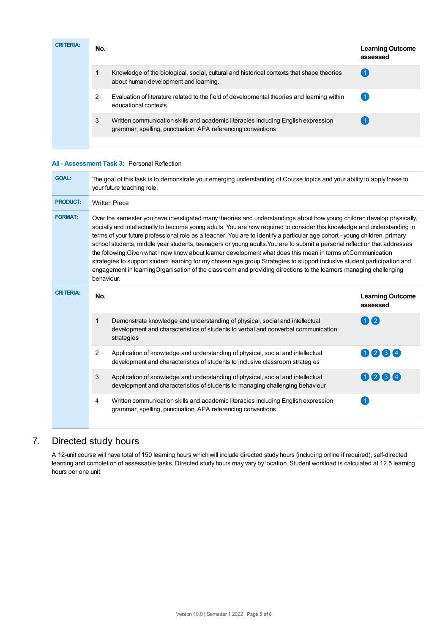| <b>CRITERIA:</b> | No. |                                                                                                                                                  | <b>Learning Outcome</b><br>assessed |
|------------------|-----|--------------------------------------------------------------------------------------------------------------------------------------------------|-------------------------------------|
|                  |     | Knowledge of the biological, social, cultural and historical contexts that shape theories<br>about human development and learning.               |                                     |
|                  | 2   | Evaluation of literature related to the field of developmental theories and learning within<br>educational contexts                              |                                     |
|                  | 3   | Written communication skills and academic literacies including English expression<br>grammar, spelling, punctuation, APA referencing conventions |                                     |
|                  |     |                                                                                                                                                  |                                     |

#### **All - Assessment Task 3:** Personal Reflection

| <b>GOAL:</b>     | The goal of this task is to demonstrate your emerging understanding of Course topics and your ability to apply these to<br>your future teaching role.                                                                                                                                                                                                                                                                                                                                                                                                                                                                                                                                                                                                                                                                                                                                       |                                                                                                                                                                                 |                                     |  |  |  |  |
|------------------|---------------------------------------------------------------------------------------------------------------------------------------------------------------------------------------------------------------------------------------------------------------------------------------------------------------------------------------------------------------------------------------------------------------------------------------------------------------------------------------------------------------------------------------------------------------------------------------------------------------------------------------------------------------------------------------------------------------------------------------------------------------------------------------------------------------------------------------------------------------------------------------------|---------------------------------------------------------------------------------------------------------------------------------------------------------------------------------|-------------------------------------|--|--|--|--|
| <b>PRODUCT:</b>  |                                                                                                                                                                                                                                                                                                                                                                                                                                                                                                                                                                                                                                                                                                                                                                                                                                                                                             | <b>Written Piece</b>                                                                                                                                                            |                                     |  |  |  |  |
| <b>FORMAT:</b>   | Over the semester you have investigated many theories and understandings about how young children develop physically,<br>socially and intellectually to become young adults. You are now required to consider this knowledge and understanding in<br>terms of your future professional role as a teacher. You are to identify a particular age cohort - young children, primary<br>school students, middle year students, teenagers or young adults. You are to submit a personal reflection that addresses<br>the following: Given what I now know about learner development what does this mean in terms of: Communication<br>strategies to support student learning for my chosen age group Strategies to support inclusive student participation and<br>engagement in learningOrganisation of the classroom and providing directions to the learners managing challenging<br>behaviour. |                                                                                                                                                                                 |                                     |  |  |  |  |
| <b>CRITERIA:</b> | No.                                                                                                                                                                                                                                                                                                                                                                                                                                                                                                                                                                                                                                                                                                                                                                                                                                                                                         |                                                                                                                                                                                 | <b>Learning Outcome</b><br>assessed |  |  |  |  |
|                  | 1                                                                                                                                                                                                                                                                                                                                                                                                                                                                                                                                                                                                                                                                                                                                                                                                                                                                                           | Demonstrate knowledge and understanding of physical, social and intellectual<br>development and characteristics of students to verbal and nonverbal communication<br>strategies | $\overline{\mathbf{2}}$             |  |  |  |  |
|                  | $\overline{2}$                                                                                                                                                                                                                                                                                                                                                                                                                                                                                                                                                                                                                                                                                                                                                                                                                                                                              | Application of knowledge and understanding of physical, social and intellectual<br>development and characteristics of students to inclusive classroom strategies                | 0234                                |  |  |  |  |
|                  | 3                                                                                                                                                                                                                                                                                                                                                                                                                                                                                                                                                                                                                                                                                                                                                                                                                                                                                           | Application of knowledge and understanding of physical, social and intellectual<br>development and characteristics of students to managing challenging behaviour                | 1234                                |  |  |  |  |
|                  | 4                                                                                                                                                                                                                                                                                                                                                                                                                                                                                                                                                                                                                                                                                                                                                                                                                                                                                           | Written communication skills and academic literacies including English expression<br>grammar, spelling, punctuation, APA referencing conventions                                | $\blacktriangleleft$                |  |  |  |  |

## 7. Directed study hours

A 12-unit course will have total of 150 learning hours which will include directed study hours (including online if required), self-directed learning and completion of assessable tasks. Directed study hours may vary by location. Student workload is calculated at 12.5 learning hours per one unit.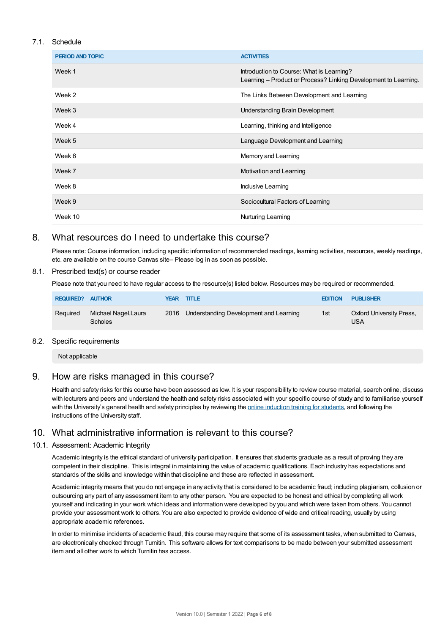#### 7.1. Schedule

| <b>PERIOD AND TOPIC</b> | <b>ACTIVITIES</b>                                                                                            |
|-------------------------|--------------------------------------------------------------------------------------------------------------|
| Week 1                  | Introduction to Course: What is Learning?<br>Learning - Product or Process? Linking Development to Learning. |
| Week 2                  | The Links Between Development and Learning                                                                   |
| Week 3                  | <b>Understanding Brain Development</b>                                                                       |
| Week 4                  | Learning, thinking and Intelligence                                                                          |
| Week 5                  | Language Development and Learning                                                                            |
| Week 6                  | Memory and Learning                                                                                          |
| Week 7                  | Motivation and Learning                                                                                      |
| Week 8                  | Inclusive Learning                                                                                           |
| Week 9                  | Sociocultural Factors of Learning                                                                            |
| Week 10                 | Nurturing Learning                                                                                           |

## 8. What resources do I need to undertake this course?

Please note: Course information, including specific information of recommended readings, learning activities, resources, weekly readings, etc. are available on the course Canvas site– Please log in as soon as possible.

#### 8.1. Prescribed text(s) or course reader

Please note that you need to have regular access to the resource(s) listed below. Resources may be required or recommended.

| <b>REQUIRED? AUTHOR</b> |                                       | <b>YEAR TITLE</b>                           | <b>EDITION</b> | <b>PUBLISHER</b>                |
|-------------------------|---------------------------------------|---------------------------------------------|----------------|---------------------------------|
| Reguired                | Michael Nagel,Laura<br><b>Scholes</b> | 2016 Understanding Development and Learning | 1st            | Oxford University Press,<br>USA |

#### 8.2. Specific requirements

Not applicable

## 9. How are risks managed in this course?

Health and safety risks for this course have been assessed as low. It is your responsibility to review course material, search online, discuss with lecturers and peers and understand the health and safety risks associated with your specific course of study and to familiarise yourself with the University's general health and safety principles by reviewing the online [induction](https://online.usc.edu.au/webapps/blackboard/content/listContentEditable.jsp?content_id=_632657_1&course_id=_14432_1) training for students, and following the instructions of the University staff.

## 10. What administrative information is relevant to this course?

#### 10.1. Assessment: Academic Integrity

Academic integrity is the ethical standard of university participation. It ensures that students graduate as a result of proving they are competent in their discipline. This is integral in maintaining the value of academic qualifications. Each industry has expectations and standards of the skills and knowledge within that discipline and these are reflected in assessment.

Academic integrity means that you do not engage in any activity that is considered to be academic fraud; including plagiarism, collusion or outsourcing any part of any assessment item to any other person. You are expected to be honest and ethical by completing all work yourself and indicating in your work which ideas and information were developed by you and which were taken from others. You cannot provide your assessment work to others.You are also expected to provide evidence of wide and critical reading, usually by using appropriate academic references.

In order to minimise incidents of academic fraud, this course may require that some of its assessment tasks, when submitted to Canvas, are electronically checked through Turnitin. This software allows for text comparisons to be made between your submitted assessment item and all other work to which Turnitin has access.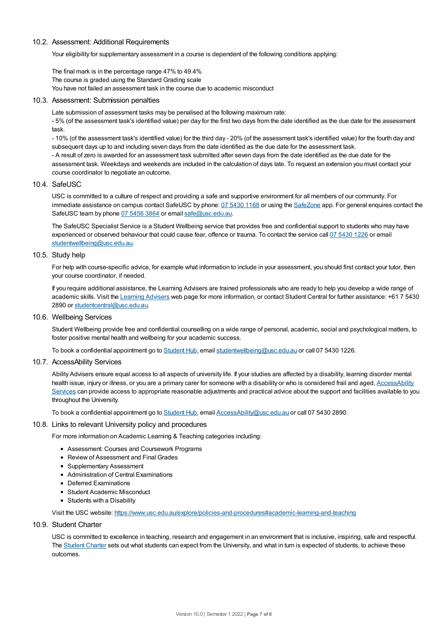#### 10.2. Assessment: Additional Requirements

Your eligibility for supplementary assessment in a course is dependent of the following conditions applying:

The final mark is in the percentage range 47% to 49.4% The course is graded using the Standard Grading scale You have not failed an assessment task in the course due to academic misconduct

#### 10.3. Assessment: Submission penalties

Late submission of assessment tasks may be penalised at the following maximum rate:

- 5% (of the assessment task's identified value) per day for the first two days from the date identified as the due date for the assessment task.

- 10% (of the assessment task's identified value) for the third day - 20% (of the assessment task's identified value) for the fourth day and subsequent days up to and including seven days from the date identified as the due date for the assessment task.

- A result of zero is awarded for an assessment task submitted after seven days from the date identified as the due date for the assessment task. Weekdays and weekends are included in the calculation of days late. To request an extension you must contact your course coordinator to negotiate an outcome.

#### 10.4. SafeUSC

USC is committed to a culture of respect and providing a safe and supportive environment for all members of our community. For immediate assistance on campus contact SafeUSC by phone: 07 [5430](tel:07%205430%201168) 1168 or using the [SafeZone](https://www.safezoneapp.com) app. For general enquires contact the SafeUSC team by phone 07 [5456](tel:07%205456%203864) 3864 or email [safe@usc.edu.au](mailto:safe@usc.edu.au).

The SafeUSC Specialist Service is a Student Wellbeing service that provides free and confidential support to students who may have experienced or observed behaviour that could cause fear, offence or trauma. To contact the service call 07 [5430](tel:07%205430%201226) 1226 or email [studentwellbeing@usc.edu.au](mailto:studentwellbeing@usc.edu.au).

#### 10.5. Study help

For help with course-specific advice, for example what information to include in your assessment, you should first contact your tutor, then your course coordinator, if needed.

If you require additional assistance, the Learning Advisers are trained professionals who are ready to help you develop a wide range of academic skills. Visit the Learning [Advisers](https://www.usc.edu.au/current-students/student-support/academic-and-study-support/learning-advisers) web page for more information, or contact Student Central for further assistance: +61 7 5430 2890 or [studentcentral@usc.edu.au](mailto:studentcentral@usc.edu.au).

10.6. Wellbeing Services

Student Wellbeing provide free and confidential counselling on a wide range of personal, academic, social and psychological matters, to foster positive mental health and wellbeing for your academic success.

To book a confidential appointment go to [Student](https://studenthub.usc.edu.au/) Hub, email [studentwellbeing@usc.edu.au](mailto:studentwellbeing@usc.edu.au) or call 07 5430 1226.

#### 10.7. AccessAbility Services

Ability Advisers ensure equal access to all aspects of university life. If your studies are affected by a disability, learning disorder mental health issue, injury or illness, or you are a primary carer for someone with a disability or who is considered frail and aged, [AccessAbility](https://www.usc.edu.au/learn/student-support/accessability-services/documentation-requirements) Services can provide access to appropriate reasonable adjustments and practical advice about the support and facilities available to you throughout the University.

To book a confidential appointment go to [Student](https://studenthub.usc.edu.au/) Hub, email [AccessAbility@usc.edu.au](mailto:AccessAbility@usc.edu.au) or call 07 5430 2890.

#### 10.8. Links to relevant University policy and procedures

For more information on Academic Learning & Teaching categories including:

- Assessment: Courses and Coursework Programs
- Review of Assessment and Final Grades
- Supplementary Assessment
- Administration of Central Examinations
- Deferred Examinations
- Student Academic Misconduct
- Students with a Disability

Visit the USC website: <https://www.usc.edu.au/explore/policies-and-procedures#academic-learning-and-teaching>

#### 10.9. Student Charter

USC is committed to excellence in teaching, research and engagement in an environment that is inclusive, inspiring, safe and respectful. The [Student](https://www.usc.edu.au/current-students/student-charter) Charter sets out what students can expect from the University, and what in turn is expected of students, to achieve these outcomes.